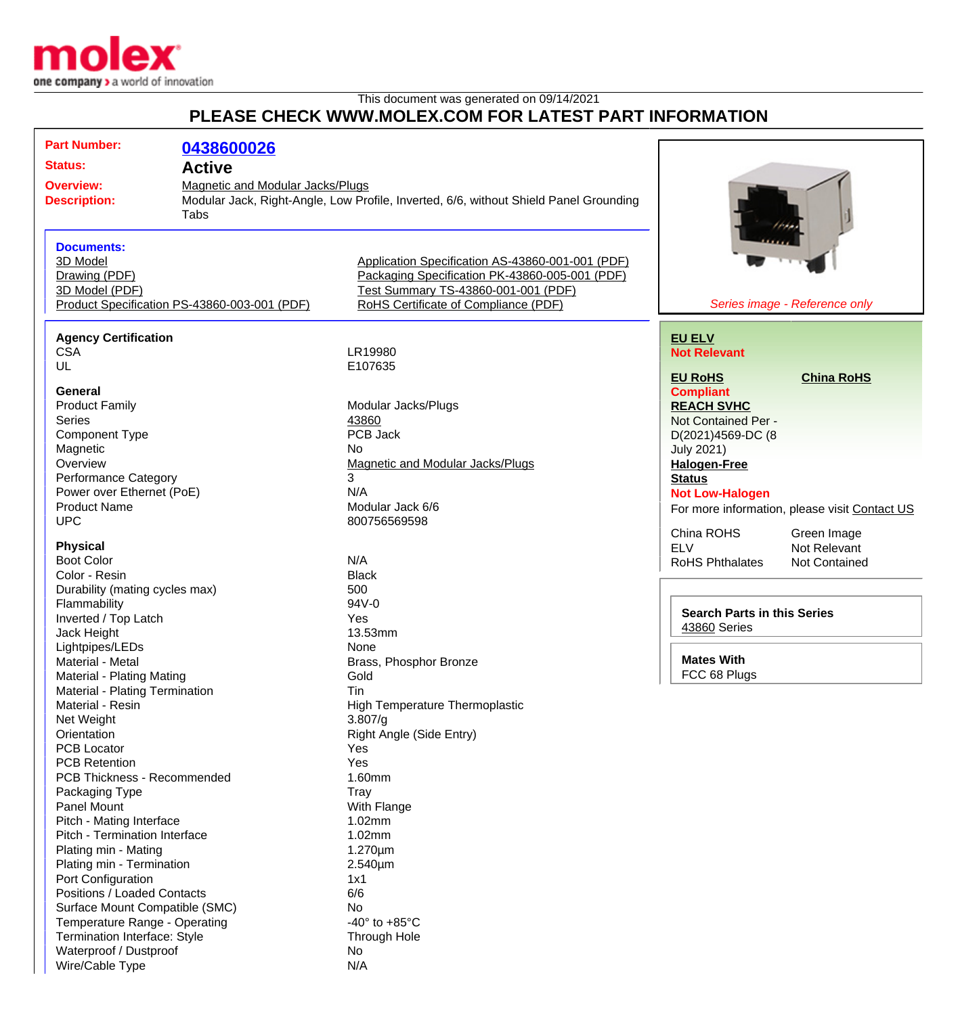

Wire/Cable Type N/A

## This document was generated on 09/14/2021

## **PLEASE CHECK WWW.MOLEX.COM FOR LATEST PART INFORMATION**

| <b>Part Number:</b><br><b>Status:</b><br><b>Overview:</b><br><b>Description:</b>                                                         | 0438600026<br><b>Active</b><br><b>Magnetic and Modular Jacks/Plugs</b><br>Tabs | Modular Jack, Right-Angle, Low Profile, Inverted, 6/6, without Shield Panel Grounding                                                                                             |                                                                                                                                                     |
|------------------------------------------------------------------------------------------------------------------------------------------|--------------------------------------------------------------------------------|-----------------------------------------------------------------------------------------------------------------------------------------------------------------------------------|-----------------------------------------------------------------------------------------------------------------------------------------------------|
| <b>Documents:</b><br>3D Model<br>Drawing (PDF)<br>3D Model (PDF)                                                                         | Product Specification PS-43860-003-001 (PDF)                                   | Application Specification AS-43860-001-001 (PDF)<br>Packaging Specification PK-43860-005-001 (PDF)<br>Test Summary TS-43860-001-001 (PDF)<br>RoHS Certificate of Compliance (PDF) | Series image - Reference only                                                                                                                       |
| <b>Agency Certification</b><br><b>CSA</b><br>UL<br>General                                                                               |                                                                                | LR19980<br>E107635                                                                                                                                                                | <b>EU ELV</b><br><b>Not Relevant</b><br><b>EU RoHS</b><br><b>China RoHS</b><br><b>Compliant</b>                                                     |
| <b>Product Family</b><br><b>Series</b><br>Component Type<br>Magnetic<br>Overview                                                         |                                                                                | Modular Jacks/Plugs<br>43860<br>PCB Jack<br><b>No</b><br>Magnetic and Modular Jacks/Plugs                                                                                         | <b>REACH SVHC</b><br>Not Contained Per -<br>D(2021)4569-DC (8<br><b>July 2021)</b><br><b>Halogen-Free</b>                                           |
| <b>Performance Category</b><br>Power over Ethernet (PoE)<br><b>Product Name</b><br><b>UPC</b><br><b>Physical</b>                         |                                                                                | 3<br>N/A<br>Modular Jack 6/6<br>800756569598                                                                                                                                      | <b>Status</b><br><b>Not Low-Halogen</b><br>For more information, please visit Contact US<br>China ROHS<br>Green Image<br><b>ELV</b><br>Not Relevant |
| <b>Boot Color</b><br>Color - Resin<br>Durability (mating cycles max)<br>Flammability<br>Inverted / Top Latch                             |                                                                                | N/A<br><b>Black</b><br>500<br>94V-0<br>Yes                                                                                                                                        | <b>RoHS Phthalates</b><br><b>Not Contained</b><br><b>Search Parts in this Series</b>                                                                |
| Jack Height<br>Lightpipes/LEDs<br>Material - Metal<br>Material - Plating Mating<br>Material - Plating Termination                        |                                                                                | 13.53mm<br>None<br>Brass, Phosphor Bronze<br>Gold<br>Tin                                                                                                                          | <b>43860 Series</b><br><b>Mates With</b><br>FCC 68 Plugs                                                                                            |
| Material - Resin<br>Net Weight<br>Orientation<br><b>PCB Locator</b><br><b>PCB Retention</b>                                              |                                                                                | <b>High Temperature Thermoplastic</b><br>3.807/g<br>Right Angle (Side Entry)<br>Yes<br>Yes                                                                                        |                                                                                                                                                     |
| PCB Thickness - Recommended<br>Packaging Type<br>Panel Mount<br>Pitch - Mating Interface<br>Pitch - Termination Interface                |                                                                                | 1.60mm<br><b>Tray</b><br>With Flange<br>1.02mm<br>1.02mm                                                                                                                          |                                                                                                                                                     |
| Plating min - Mating<br>Plating min - Termination<br>Port Configuration<br>Positions / Loaded Contacts<br>Surface Mount Compatible (SMC) |                                                                                | $1.270 \mu m$<br>$2.540 \mu m$<br>1x1<br>6/6<br>No                                                                                                                                |                                                                                                                                                     |
| Temperature Range - Operating<br>Termination Interface: Style<br>Waterproof / Dustproof                                                  |                                                                                | -40 $\degree$ to +85 $\degree$ C<br>Through Hole<br>No                                                                                                                            |                                                                                                                                                     |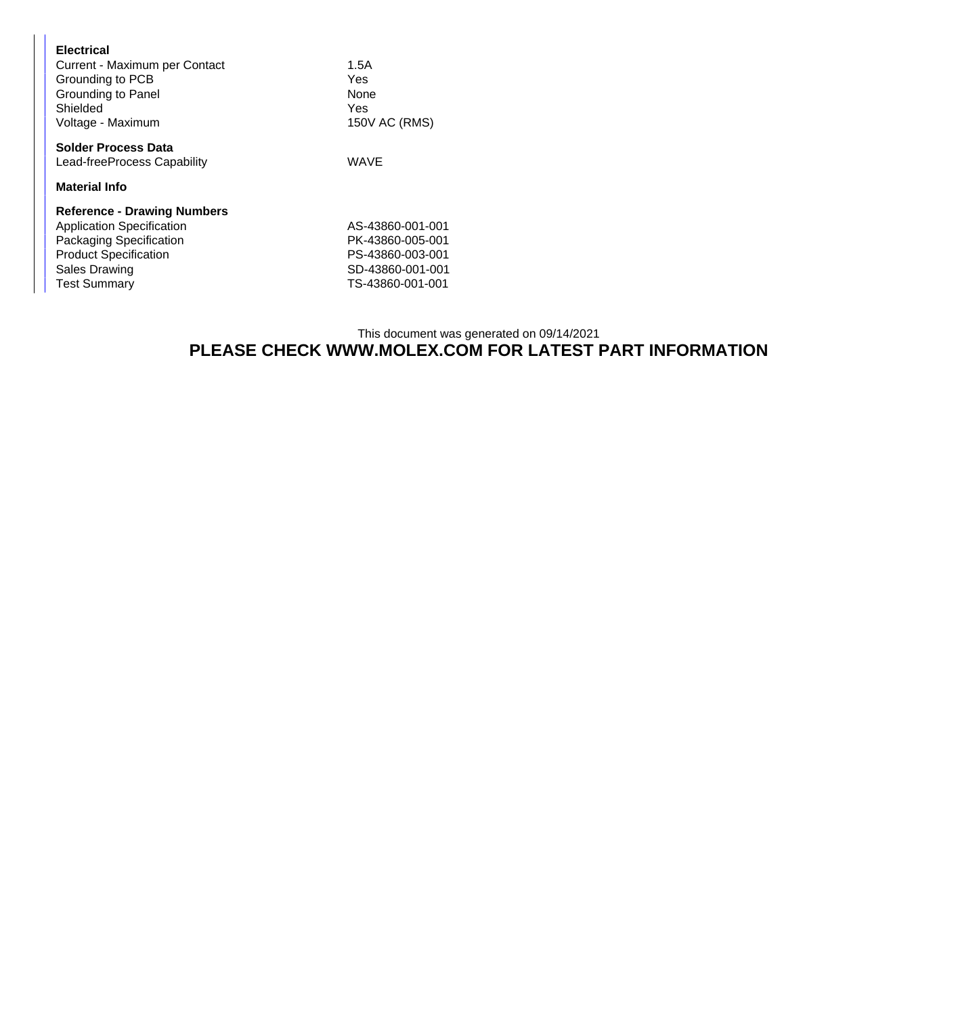| <b>Electrical</b><br>Current - Maximum per Contact<br>Grounding to PCB<br>Grounding to Panel | 1.5A<br>Yes<br>None |
|----------------------------------------------------------------------------------------------|---------------------|
| Shielded                                                                                     | Yes                 |
| Voltage - Maximum                                                                            | 150V AC (RMS)       |
| <b>Solder Process Data</b>                                                                   |                     |
| Lead-freeProcess Capability                                                                  | WAVE                |
| <b>Material Info</b>                                                                         |                     |
| <b>Reference - Drawing Numbers</b>                                                           |                     |
| <b>Application Specification</b>                                                             | AS-43860-001-001    |
| Packaging Specification                                                                      | PK-43860-005-001    |
| <b>Product Specification</b>                                                                 | PS-43860-003-001    |
| <b>Sales Drawing</b>                                                                         | SD-43860-001-001    |
| <b>Test Summary</b>                                                                          | TS-43860-001-001    |

## This document was generated on 09/14/2021 **PLEASE CHECK WWW.MOLEX.COM FOR LATEST PART INFORMATION**